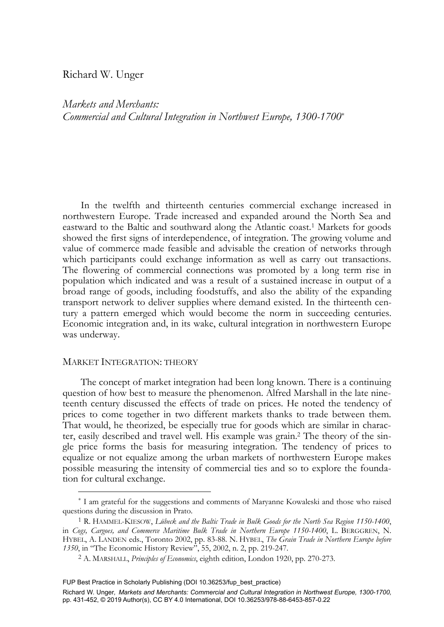# Richard W. Unger

*Markets and Merchants: Commercial and Cultural Integration in Northwest Europe, 1300-1700*\*

 In the twelfth and thirteenth centuries commercial exchange increased in northwestern Europe. Trade increased and expanded around the North Sea and eastward to the Baltic and southward along the Atlantic coast.1 Markets for goods showed the first signs of interdependence, of integration. The growing volume and value of commerce made feasible and advisable the creation of networks through which participants could exchange information as well as carry out transactions. The flowering of commercial connections was promoted by a long term rise in population which indicated and was a result of a sustained increase in output of a broad range of goods, including foodstuffs, and also the ability of the expanding transport network to deliver supplies where demand existed. In the thirteenth century a pattern emerged which would become the norm in succeeding centuries. Economic integration and, in its wake, cultural integration in northwestern Europe was underway.

# MARKET INTEGRATION: THEORY

-

 The concept of market integration had been long known. There is a continuing question of how best to measure the phenomenon. Alfred Marshall in the late nineteenth century discussed the effects of trade on prices. He noted the tendency of prices to come together in two different markets thanks to trade between them. That would, he theorized, be especially true for goods which are similar in character, easily described and travel well. His example was grain.2 The theory of the single price forms the basis for measuring integration. The tendency of prices to equalize or not equalize among the urban markets of northwestern Europe makes possible measuring the intensity of commercial ties and so to explore the foundation for cultural exchange.

FUP Best Practice in Scholarly Publishing (DOI [10.36253/fup\\_best\\_practice\)](https://doi.org/10.36253/fup_best_practice)

<sup>\*</sup> I am grateful for the suggestions and comments of Maryanne Kowaleski and those who raised questions during the discussion in Prato.<br><sup>1</sup> R. HAMMEL-KIESOW, *Lübeck and the Baltic Trade in Bulk Goods for the North Sea Region 1150-1400*,

in *Cogs, Cargoes, and Commerce Maritime Bulk Trade in Northern Europe 1150-1400*, L. BERGGREN, N. HYBEL, A. LANDEN eds., Toronto 2002, pp. 83-88. N. HYBEL, *The Grain Trade in Northern Europe before* 

<sup>&</sup>lt;sup>2</sup> A. MARSHALL, *Principles of Economics*, eighth edition, London 1920, pp. 270-273.

Richard W. Unger*, Markets and Merchants: Commercial and Cultural Integration in Northwest Europe, 1300-1700,* pp. 431-452, © 2019 Author(s), [CC BY 4.0 International,](http://creativecommons.org/licenses/by/4.0/legalcode) DOI [10.36253/978-88-6453-857-0.22](https://doi.org/10.36253/978-88-6453-857-0.22)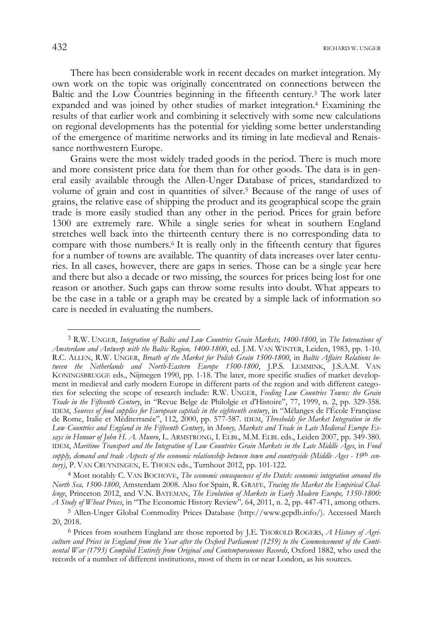There has been considerable work in recent decades on market integration. My own work on the topic was originally concentrated on connections between the Baltic and the Low Countries beginning in the fifteenth century.3 The work later expanded and was joined by other studies of market integration.4 Examining the results of that earlier work and combining it selectively with some new calculations on regional developments has the potential for yielding some better understanding of the emergence of maritime networks and its timing in late medieval and Renaissance northwestern Europe.

 Grains were the most widely traded goods in the period. There is much more and more consistent price data for them than for other goods. The data is in general easily available through the Allen-Unger Database of prices, standardized to volume of grain and cost in quantities of silver.5 Because of the range of uses of grains, the relative ease of shipping the product and its geographical scope the grain trade is more easily studied than any other in the period. Prices for grain before 1300 are extremely rare. While a single series for wheat in southern England stretches well back into the thirteenth century there is no corresponding data to compare with those numbers.6 It is really only in the fifteenth century that figures for a number of towns are available. The quantity of data increases over later centuries. In all cases, however, there are gaps in series. Those can be a single year here and there but also a decade or two missing, the sources for prices being lost for one reason or another. Such gaps can throw some results into doubt. What appears to be the case in a table or a graph may be created by a simple lack of information so care is needed in evaluating the numbers.

4 Most notably C. VAN BOCHOVE, *The economic consequences of the Dutch: economic integration around the North Sea, 1500-1800*, Amsterdam 2008. Also for Spain, R. GRAFE, *Tracing the Market the Empirical Challenge*, Princeton 2012, and V.N. BATEMAN, *The Evolution of Markets in Early Modern Europe, 1350-1800: A Study of Wheat Prices*, in "The Economic History Review"*,* 64, 2011, n. 2, pp. 447-471, among others.

<sup>3</sup> R.W. UNGER, *Integration of Baltic and Low Countries Grain Markets, 1400-1800*, in *The Interactions of Amsterdam and Antwerp with the Baltic Region, 1400-1800*, ed. J.M. VAN WINTER, Leiden, 1983, pp. 1-10. R.C. ALLEN, R.W. UNGER, *Breath of the Market for Polish Grain 1500-1800*, in *Baltic Affairs Relations between the Netherlands and North-Eastern Europe 1500-1800*, J.P.S. LEMMINK, J.S.A.M. VAN KONINGSBRUGGE eds., Nijmegen 1990, pp. 1-18. The later, more specific studies of market development in medieval and early modern Europe in different parts of the region and with different categories for selecting the scope of research include: R.W. UNGER, *Feeding Low Countries Towns: the Grain Trade in the Fifteenth Century*, in "Revue Belge de Philolgie et d'Histoire", 77, 1999, n. 2, pp. 329-358. IDEM, *Sources of food supplies for European capitals in the eighteenth century*, in "Mélanges de l'École Françiase de Rome, Italie et Méditerranée", 112, 2000, pp. 577-587. IDEM, *Thresholds for Market Integration in the Low Countries and England in the Fifteenth Century*, in *Money, Markets and Trade in Late Medieval Europe Essays in Honour of John H. A. Munro*, L. ARMSTRONG, I. ELBL, M.M. ELBL eds., Leiden 2007, pp. 349-380. IDEM, *Maritime Transport and the Integration of Low Countries Grain Markets in the Late Middle Ages*, in *Food supply, demand and trade Aspects of the economic relationship between town and countryside (Middle Ages - 19*th *century)*, P. VAN CRUYNINGEN, E. THOEN eds., Turnhout 2012, pp. 101-122.

<sup>5</sup> Allen-Unger Global Commodity Prices Database (http://www.gcpdb.info/). Accessed March 20, 2018.

<sup>6</sup> Prices from southern England are those reported by J.E. THOROLD ROGERS, *A History of Agriculture and Prices in England from the Year after the Oxford Parliament (1259) to the Commencement of the Continental War (1793) Compiled Entirely from Original and Contemporaneous Records*, Oxford 1882, who used the records of a number of different institutions, most of them in or near London, as his sources.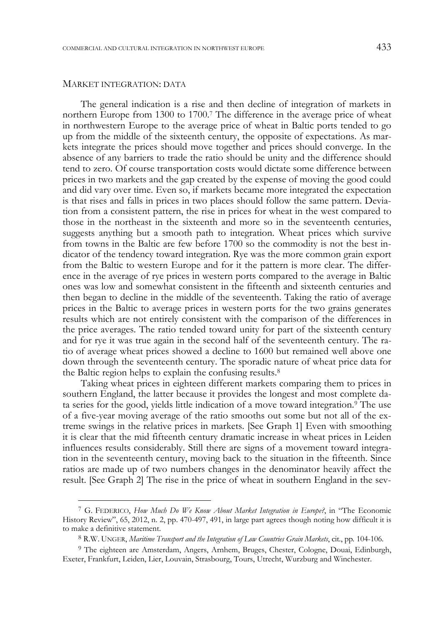### MARKET INTEGRATION: DATA

-

 The general indication is a rise and then decline of integration of markets in northern Europe from 1300 to 1700.7 The difference in the average price of wheat in northwestern Europe to the average price of wheat in Baltic ports tended to go up from the middle of the sixteenth century, the opposite of expectations. As markets integrate the prices should move together and prices should converge. In the absence of any barriers to trade the ratio should be unity and the difference should tend to zero. Of course transportation costs would dictate some difference between prices in two markets and the gap created by the expense of moving the good could and did vary over time. Even so, if markets became more integrated the expectation is that rises and falls in prices in two places should follow the same pattern. Deviation from a consistent pattern, the rise in prices for wheat in the west compared to those in the northeast in the sixteenth and more so in the seventeenth centuries, suggests anything but a smooth path to integration. Wheat prices which survive from towns in the Baltic are few before 1700 so the commodity is not the best indicator of the tendency toward integration. Rye was the more common grain export from the Baltic to western Europe and for it the pattern is more clear. The difference in the average of rye prices in western ports compared to the average in Baltic ones was low and somewhat consistent in the fifteenth and sixteenth centuries and then began to decline in the middle of the seventeenth. Taking the ratio of average prices in the Baltic to average prices in western ports for the two grains generates results which are not entirely consistent with the comparison of the differences in the price averages. The ratio tended toward unity for part of the sixteenth century and for rye it was true again in the second half of the seventeenth century. The ratio of average wheat prices showed a decline to 1600 but remained well above one down through the seventeenth century. The sporadic nature of wheat price data for the Baltic region helps to explain the confusing results.8

 Taking wheat prices in eighteen different markets comparing them to prices in southern England, the latter because it provides the longest and most complete data series for the good, yields little indication of a move toward integration.9 The use of a five-year moving average of the ratio smooths out some but not all of the extreme swings in the relative prices in markets. [See Graph 1] Even with smoothing it is clear that the mid fifteenth century dramatic increase in wheat prices in Leiden influences results considerably. Still there are signs of a movement toward integration in the seventeenth century, moving back to the situation in the fifteenth. Since ratios are made up of two numbers changes in the denominator heavily affect the result. [See Graph 2] The rise in the price of wheat in southern England in the sev-

<sup>7</sup> G. FEDERICO, *How Much Do We Know About Market Integration in Europe?*, in "The Economic History Review", 65, 2012, n. 2, pp. 470-497, 491, in large part agrees though noting how difficult it is to make a definitive statement.

<sup>8</sup> R.W. UNGER, *Maritime Transport and the Integration of Low Countries Grain Markets*, cit*.*, pp*.* 104-106.

<sup>9</sup> The eighteen are Amsterdam, Angers, Arnhem, Bruges, Chester, Cologne, Douai, Edinburgh, Exeter, Frankfurt, Leiden, Lier, Louvain, Strasbourg, Tours, Utrecht, Wurzburg and Winchester.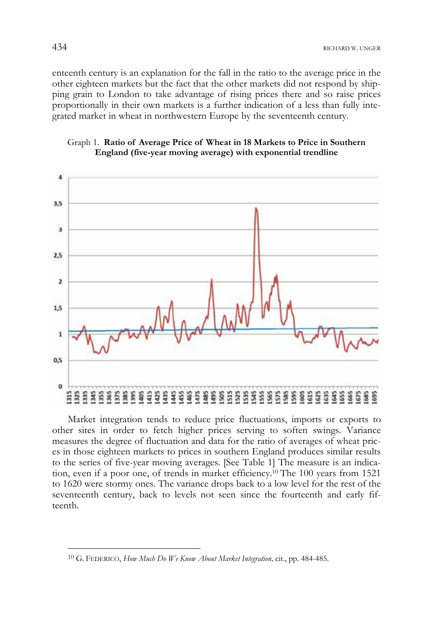enteenth century is an explanation for the fall in the ratio to the average price in the other eighteen markets but the fact that the other markets did not respond by shipping grain to London to take advantage of rising prices there and so raise prices proportionally in their own markets is a further indication of a less than fully integrated market in wheat in northwestern Europe by the seventeenth century.



Graph 1. **Ratio of Average Price of Wheat in 18 Markets to Price in Southern England (five-year moving average) with exponential trendline** 

Market integration tends to reduce price fluctuations, imports or exports to other sites in order to fetch higher prices serving to soften swings. Variance measures the degree of fluctuation and data for the ratio of averages of wheat prices in those eighteen markets to prices in southern England produces similar results to the series of five-year moving averages. [See Table 1] The measure is an indication, even if a poor one, of trends in market efficiency.10 The 100 years from 1521 to 1620 were stormy ones. The variance drops back to a low level for the rest of the seventeenth century, back to levels not seen since the fourteenth and early fifteenth.

<sup>10</sup> G. FEDERICO, *How Much Do We Know About Market Integration,* cit., pp. 484-485.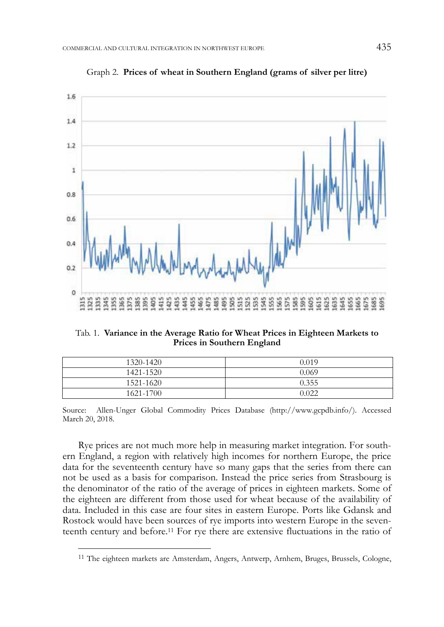

Graph 2. **Prices of wheat in Southern England (grams of silver per litre)** 

Tab. 1. **Variance in the Average Ratio for Wheat Prices in Eighteen Markets to Prices in Southern England** 

| 1320-1420 | 0.019 |
|-----------|-------|
| 1421-1520 | 0.069 |
| 1521-1620 | 0.355 |
| 1621-1700 | 0.022 |

Source: Allen-Unger Global Commodity Prices Database (http://www.gcpdb.info/). Accessed March 20, 2018.

Rye prices are not much more help in measuring market integration. For southern England, a region with relatively high incomes for northern Europe, the price data for the seventeenth century have so many gaps that the series from there can not be used as a basis for comparison. Instead the price series from Strasbourg is the denominator of the ratio of the average of prices in eighteen markets. Some of the eighteen are different from those used for wheat because of the availability of data. Included in this case are four sites in eastern Europe. Ports like Gdansk and Rostock would have been sources of rye imports into western Europe in the seventeenth century and before.11 For rye there are extensive fluctuations in the ratio of

<sup>11</sup> The eighteen markets are Amsterdam, Angers, Antwerp, Arnhem, Bruges, Brussels, Cologne,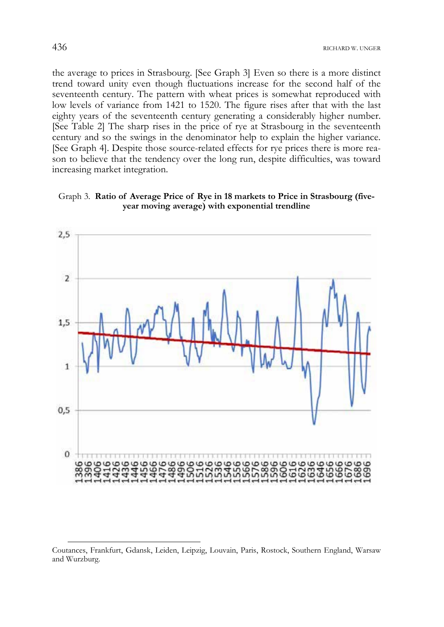the average to prices in Strasbourg. [See Graph 3] Even so there is a more distinct trend toward unity even though fluctuations increase for the second half of the seventeenth century. The pattern with wheat prices is somewhat reproduced with low levels of variance from 1421 to 1520. The figure rises after that with the last eighty years of the seventeenth century generating a considerably higher number. [See Table 2] The sharp rises in the price of rye at Strasbourg in the seventeenth century and so the swings in the denominator help to explain the higher variance. [See Graph 4]. Despite those source-related effects for rye prices there is more reason to believe that the tendency over the long run, despite difficulties, was toward increasing market integration.

## Graph 3. **Ratio of Average Price of Rye in 18 markets to Price in Strasbourg (fiveyear moving average) with exponential trendline**



Coutances, Frankfurt, Gdansk, Leiden, Leipzig, Louvain, Paris, Rostock, Southern England, Warsaw and Wurzburg.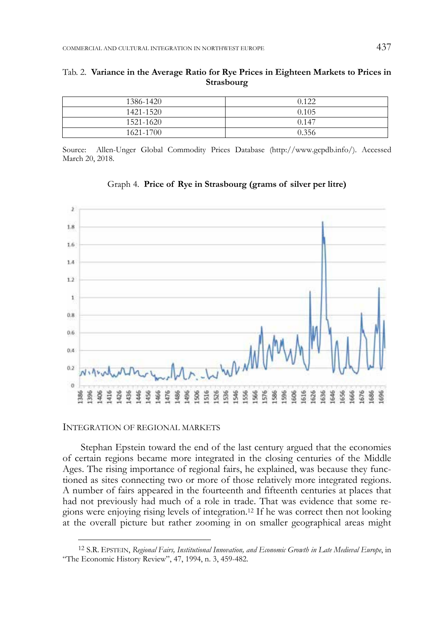| 1386-1420 | 0.122 |
|-----------|-------|
| 1421-1520 | 0.105 |
| 1521-1620 | 0.147 |
| 1621-1700 | 0.356 |

Tab. 2. **Variance in the Average Ratio for Rye Prices in Eighteen Markets to Prices in Strasbourg** 

Source: Allen-Unger Global Commodity Prices Database (http://www.gcpdb.info/). Accessed March 20, 2018.



Graph 4. **Price of Rye in Strasbourg (grams of silver per litre)** 

INTEGRATION OF REGIONAL MARKETS

-

Stephan Epstein toward the end of the last century argued that the economies of certain regions became more integrated in the closing centuries of the Middle Ages. The rising importance of regional fairs, he explained, was because they functioned as sites connecting two or more of those relatively more integrated regions. A number of fairs appeared in the fourteenth and fifteenth centuries at places that had not previously had much of a role in trade. That was evidence that some regions were enjoying rising levels of integration.12 If he was correct then not looking at the overall picture but rather zooming in on smaller geographical areas might

<sup>12</sup> S.R. EPSTEIN, *Regional Fairs, Institutional Innovation, and Economic Growth in Late Medieval Europe*, in "The Economic History Review", 47, 1994, n. 3, 459-482.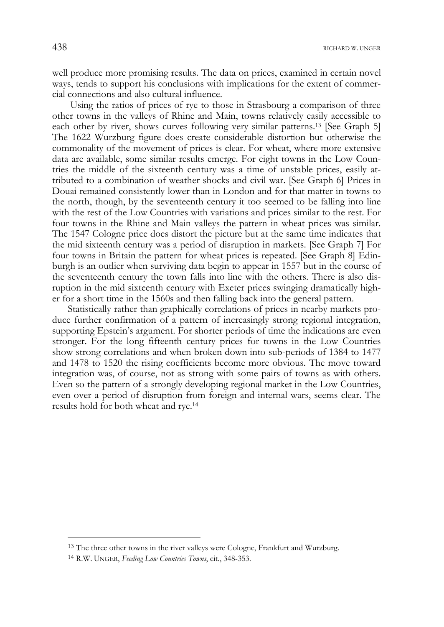438 RICHARD W. UNGER

well produce more promising results. The data on prices, examined in certain novel ways, tends to support his conclusions with implications for the extent of commercial connections and also cultural influence.

 Using the ratios of prices of rye to those in Strasbourg a comparison of three other towns in the valleys of Rhine and Main, towns relatively easily accessible to each other by river, shows curves following very similar patterns.<sup>13</sup> [See Graph 5] The 1622 Wurzburg figure does create considerable distortion but otherwise the commonality of the movement of prices is clear. For wheat, where more extensive data are available, some similar results emerge. For eight towns in the Low Countries the middle of the sixteenth century was a time of unstable prices, easily attributed to a combination of weather shocks and civil war. [See Graph 6] Prices in Douai remained consistently lower than in London and for that matter in towns to the north, though, by the seventeenth century it too seemed to be falling into line with the rest of the Low Countries with variations and prices similar to the rest. For four towns in the Rhine and Main valleys the pattern in wheat prices was similar. The 1547 Cologne price does distort the picture but at the same time indicates that the mid sixteenth century was a period of disruption in markets. [See Graph 7] For four towns in Britain the pattern for wheat prices is repeated. [See Graph 8] Edinburgh is an outlier when surviving data begin to appear in 1557 but in the course of the seventeenth century the town falls into line with the others. There is also disruption in the mid sixteenth century with Exeter prices swinging dramatically higher for a short time in the 1560s and then falling back into the general pattern.

Statistically rather than graphically correlations of prices in nearby markets produce further confirmation of a pattern of increasingly strong regional integration, supporting Epstein's argument. For shorter periods of time the indications are even stronger. For the long fifteenth century prices for towns in the Low Countries show strong correlations and when broken down into sub-periods of 1384 to 1477 and 1478 to 1520 the rising coefficients become more obvious. The move toward integration was, of course, not as strong with some pairs of towns as with others. Even so the pattern of a strongly developing regional market in the Low Countries, even over a period of disruption from foreign and internal wars, seems clear. The results hold for both wheat and rye.14

<sup>&</sup>lt;sup>13</sup> The three other towns in the river valleys were Cologne, Frankfurt and Wurzburg.

<sup>14</sup> R.W. UNGER, *Feeding Low Countries Towns*, cit., 348-353.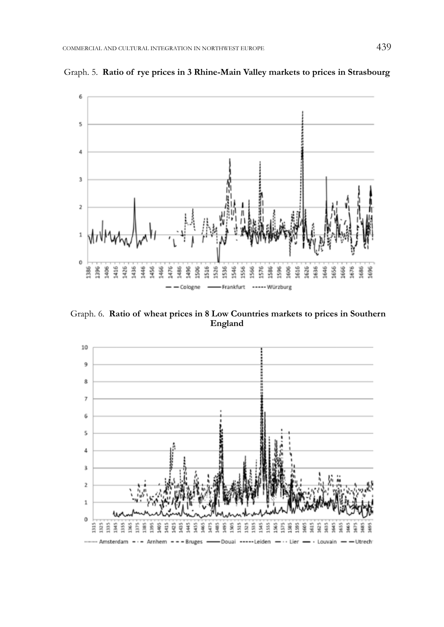

Graph. 5. **Ratio of rye prices in 3 Rhine-Main Valley markets to prices in Strasbourg** 

Graph. 6. **Ratio of wheat prices in 8 Low Countries markets to prices in Southern England** 

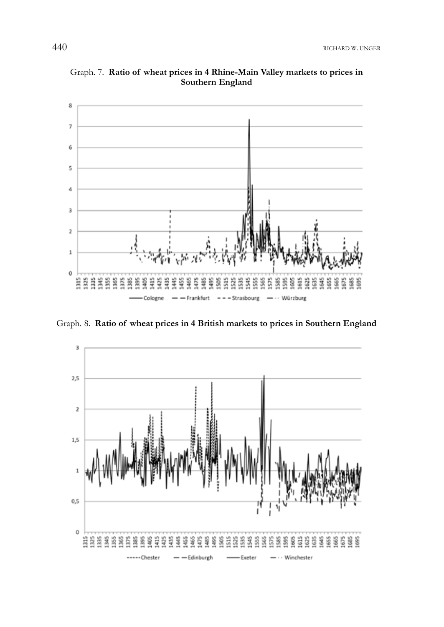

Graph. 7. **Ratio of wheat prices in 4 Rhine-Main Valley markets to prices in Southern England** 

Graph. 8. **Ratio of wheat prices in 4 British markets to prices in Southern England** 

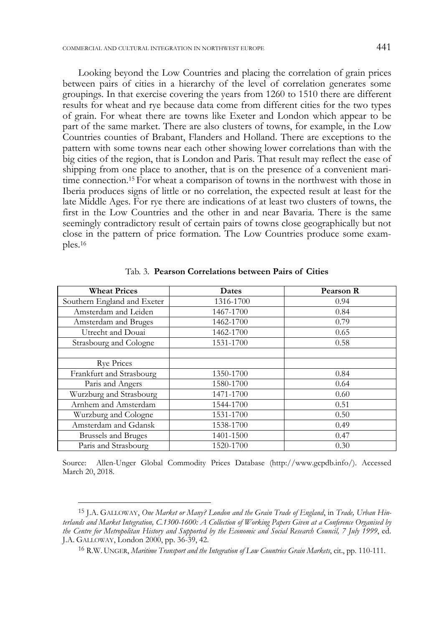Looking beyond the Low Countries and placing the correlation of grain prices between pairs of cities in a hierarchy of the level of correlation generates some groupings. In that exercise covering the years from 1260 to 1510 there are different results for wheat and rye because data come from different cities for the two types of grain. For wheat there are towns like Exeter and London which appear to be part of the same market. There are also clusters of towns, for example, in the Low Countries counties of Brabant, Flanders and Holland. There are exceptions to the pattern with some towns near each other showing lower correlations than with the big cities of the region, that is London and Paris. That result may reflect the ease of shipping from one place to another, that is on the presence of a convenient maritime connection.15 For wheat a comparison of towns in the northwest with those in Iberia produces signs of little or no correlation, the expected result at least for the late Middle Ages. For rye there are indications of at least two clusters of towns, the first in the Low Countries and the other in and near Bavaria. There is the same seemingly contradictory result of certain pairs of towns close geographically but not close in the pattern of price formation. The Low Countries produce some examples.16

| <b>Wheat Prices</b>         | Dates     | Pearson R |
|-----------------------------|-----------|-----------|
| Southern England and Exeter | 1316-1700 | 0.94      |
| Amsterdam and Leiden        | 1467-1700 | 0.84      |
| Amsterdam and Bruges        | 1462-1700 | 0.79      |
| Utrecht and Douai           | 1462-1700 | 0.65      |
| Strasbourg and Cologne      | 1531-1700 | 0.58      |
|                             |           |           |
| <b>Rye Prices</b>           |           |           |
| Frankfurt and Strasbourg    | 1350-1700 | 0.84      |
| Paris and Angers            | 1580-1700 | 0.64      |
| Wurzburg and Strasbourg     | 1471-1700 | 0.60      |
| Arnhem and Amsterdam        | 1544-1700 | 0.51      |
| Wurzburg and Cologne        | 1531-1700 | 0.50      |
| Amsterdam and Gdansk        | 1538-1700 | 0.49      |
| <b>Brussels and Bruges</b>  | 1401-1500 | 0.47      |
| Paris and Strasbourg        | 1520-1700 | 0.30      |

Tab. 3. **Pearson Correlations between Pairs of Cities** 

Source: Allen-Unger Global Commodity Prices Database (http://www.gcpdb.info/). Accessed March 20, 2018.

<sup>15</sup> J.A. GALLOWAY, *One Market or Many? London and the Grain Trade of England*, in *Trade, Urban Hinterlands and Market Integration, C.1300-1600: A Collection of Working Papers Given at a Conference Organised by the Centre for Metropolitan History and Supported by the Economic and Social Research Council, 7 July 1999*, ed. J.A. GALLOWAY, London 2000, pp. 36-39, 42.

<sup>16</sup> R.W. UNGER, *Maritime Transport and the Integration of Low Countries Grain Markets*, cit., pp. 110-111.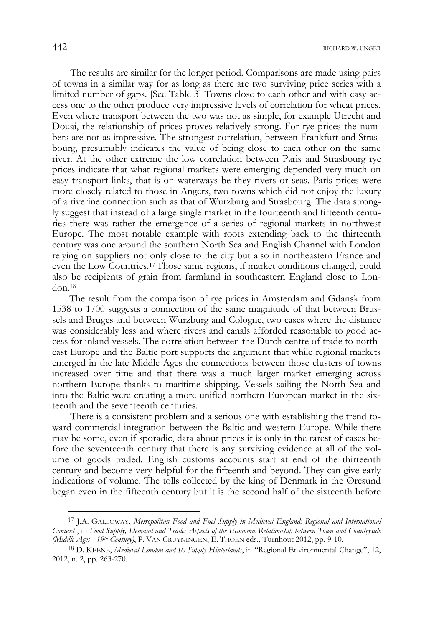The results are similar for the longer period. Comparisons are made using pairs of towns in a similar way for as long as there are two surviving price series with a limited number of gaps. [See Table 3] Towns close to each other and with easy access one to the other produce very impressive levels of correlation for wheat prices. Even where transport between the two was not as simple, for example Utrecht and Douai, the relationship of prices proves relatively strong. For rye prices the numbers are not as impressive. The strongest correlation, between Frankfurt and Strasbourg, presumably indicates the value of being close to each other on the same river. At the other extreme the low correlation between Paris and Strasbourg rye prices indicate that what regional markets were emerging depended very much on easy transport links, that is on waterways be they rivers or seas. Paris prices were more closely related to those in Angers, two towns which did not enjoy the luxury of a riverine connection such as that of Wurzburg and Strasbourg. The data strongly suggest that instead of a large single market in the fourteenth and fifteenth centuries there was rather the emergence of a series of regional markets in northwest Europe. The most notable example with roots extending back to the thirteenth century was one around the southern North Sea and English Channel with London relying on suppliers not only close to the city but also in northeastern France and even the Low Countries.17 Those same regions, if market conditions changed, could also be recipients of grain from farmland in southeastern England close to London.18

The result from the comparison of rye prices in Amsterdam and Gdansk from 1538 to 1700 suggests a connection of the same magnitude of that between Brussels and Bruges and between Wurzburg and Cologne, two cases where the distance was considerably less and where rivers and canals afforded reasonable to good access for inland vessels. The correlation between the Dutch centre of trade to northeast Europe and the Baltic port supports the argument that while regional markets emerged in the late Middle Ages the connections between those clusters of towns increased over time and that there was a much larger market emerging across northern Europe thanks to maritime shipping. Vessels sailing the North Sea and into the Baltic were creating a more unified northern European market in the sixteenth and the seventeenth centuries.

 There is a consistent problem and a serious one with establishing the trend toward commercial integration between the Baltic and western Europe. While there may be some, even if sporadic, data about prices it is only in the rarest of cases before the seventeenth century that there is any surviving evidence at all of the volume of goods traded. English customs accounts start at end of the thirteenth century and become very helpful for the fifteenth and beyond. They can give early indications of volume. The tolls collected by the king of Denmark in the Øresund began even in the fifteenth century but it is the second half of the sixteenth before

j

<sup>17</sup> J.A. GALLOWAY, *Metropolitan Food and Fuel Supply in Medieval England: Regional and International Contexts*, in *Food Supply, Demand and Trade: Aspects of the Economic Relationship between Town and Countryside (Middle Ages - 19th Century)*, P. VAN CRUYNINGEN, E. THOEN eds., Turnhout 2012, pp. 9-10.

<sup>18</sup> D. KEENE, *Medieval London and Its Supply Hinterlands*, in "Regional Environmental Change", 12, 2012, n. 2, pp. 263-270.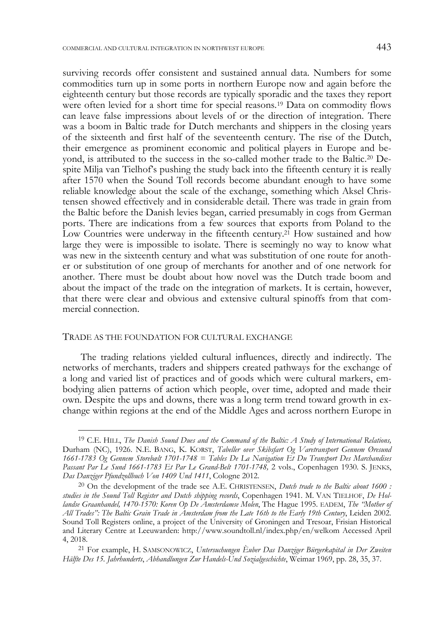surviving records offer consistent and sustained annual data. Numbers for some commodities turn up in some ports in northern Europe now and again before the eighteenth century but those records are typically sporadic and the taxes they report were often levied for a short time for special reasons.19 Data on commodity flows can leave false impressions about levels of or the direction of integration. There was a boom in Baltic trade for Dutch merchants and shippers in the closing years of the sixteenth and first half of the seventeenth century. The rise of the Dutch, their emergence as prominent economic and political players in Europe and beyond, is attributed to the success in the so-called mother trade to the Baltic.20 Despite Milja van Tielhof's pushing the study back into the fifteenth century it is really after 1570 when the Sound Toll records become abundant enough to have some reliable knowledge about the scale of the exchange, something which Aksel Christensen showed effectively and in considerable detail. There was trade in grain from the Baltic before the Danish levies began, carried presumably in cogs from German ports. There are indications from a few sources that exports from Poland to the Low Countries were underway in the fifteenth century.<sup>21</sup> How sustained and how large they were is impossible to isolate. There is seemingly no way to know what was new in the sixteenth century and what was substitution of one route for another or substitution of one group of merchants for another and of one network for another. There must be doubt about how novel was the Dutch trade boom and about the impact of the trade on the integration of markets. It is certain, however, that there were clear and obvious and extensive cultural spinoffs from that commercial connection.

#### TRADE AS THE FOUNDATION FOR CULTURAL EXCHANGE

-

 The trading relations yielded cultural influences, directly and indirectly. The networks of merchants, traders and shippers created pathways for the exchange of a long and varied list of practices and of goods which were cultural markers, embodying alien patterns of action which people, over time, adopted and made their own. Despite the ups and downs, there was a long term trend toward growth in exchange within regions at the end of the Middle Ages and across northern Europe in

<sup>19</sup> C.E. HILL, *The Danish Sound Dues and the Command of the Baltic: A Study of International Relations,* Durham (NC), 1926. N.E. BANG, K. KORST, *Tabeller over Skibsfart Og Varetransport Gennem Øresund 1661-1783 Og Gennem Storebælt 1701-1748 = Tables De La Navigation Et Du Transport Des Marchandises Passant Par Le Sund 1661-1783 Et Par Le Grand-Belt 1701-1748,* 2 vols., Copenhagen 1930. S. JENKS, *Das Danziger Pfundzollbuch Von 1409 Und 1411*, Cologne 2012.

<sup>20</sup> On the development of the trade see A.E. CHRISTENSEN, *Dutch trade to the Baltic about 1600 : studies in the Sound Toll Register and Dutch shipping records*, Copenhagen 1941. M. VAN TIELHOF, *De Hollandse Graanhandel, 1470-1570: Koren Op De Amsterdamse Molen*, The Hague 1995. EADEM, *The "Mother of All Trades": The Baltic Grain Trade in Amsterdam from the Late 16th to the Early 19th Century*, Leiden 2002. Sound Toll Registers online, a project of the University of Groningen and Tresoar, Frisian Historical and Literary Centre at Leeuwarden: http://www.soundtoll.nl/index.php/en/welkom Accessed April

<sup>4, 2018. 21</sup> For example, H. SAMSONOWICZ, *Untersuchungen Èuber Das Danziger Bürgerkapital in Der Zweiten Hälfte Des 15. Jahrhunderts*, *Abhandlungen Zur Handels-Und Sozialgeschichte*, Weimar 1969, pp. 28, 35, 37.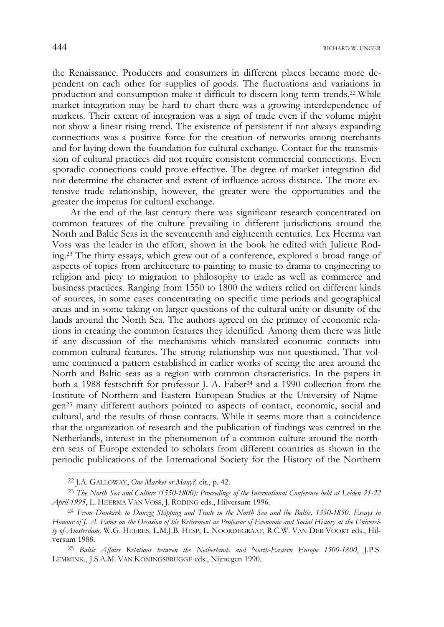the Renaissance. Producers and consumers in different places became more dependent on each other for supplies of goods. The fluctuations and variations in production and consumption make it difficult to discern long term trends.22 While market integration may be hard to chart there was a growing interdependence of markets. Their extent of integration was a sign of trade even if the volume might not show a linear rising trend. The existence of persistent if not always expanding connections was a positive force for the creation of networks among merchants and for laying down the foundation for cultural exchange. Contact for the transmission of cultural practices did not require consistent commercial connections. Even sporadic connections could prove effective. The degree of market integration did not determine the character and extent of influence across distance. The more extensive trade relationship, however, the greater were the opportunities and the greater the impetus for cultural exchange.

 At the end of the last century there was significant research concentrated on common features of the culture prevailing in different jurisdictions around the North and Baltic Seas in the seventeenth and eighteenth centuries. Lex Heerma van Voss was the leader in the effort, shown in the book he edited with Juliette Roding.23 The thirty essays, which grew out of a conference, explored a broad range of aspects of topics from architecture to painting to music to drama to engineering to religion and piety to migration to philosophy to trade as well as commerce and business practices. Ranging from 1550 to 1800 the writers relied on different kinds of sources, in some cases concentrating on specific time periods and geographical areas and in some taking on larger questions of the cultural unity or disunity of the lands around the North Sea. The authors agreed on the primacy of economic relations in creating the common features they identified. Among them there was little if any discussion of the mechanisms which translated economic contacts into common cultural features. The strong relationship was not questioned. That volume continued a pattern established in earlier works of seeing the area around the North and Baltic seas as a region with common characteristics. In the papers in both a 1988 festschrift for professor J. A. Faber24 and a 1990 collection from the Institute of Northern and Eastern European Studies at the University of Nijmegen25 many different authors pointed to aspects of contact, economic, social and cultural, and the results of those contacts. While it seems more than a coincidence that the organization of research and the publication of findings was centred in the Netherlands, interest in the phenomenon of a common culture around the northern seas of Europe extended to scholars from different countries as shown in the periodic publications of the International Society for the History of the Northern

<sup>22</sup> J.A. GALLOWAY, *One Market or Many?,* cit., p. 42.

<sup>23</sup> *The North Sea and Culture (1550-1800): Proceedings of the International Conference held at Leiden 21-22 April 1995*, L. HEERMA VAN VOSS, J. RODING eds., Hilversum 1996.

<sup>24</sup> *From Dunkirk to Danzig Shipping and Trade in the North Sea and the Baltic, 1350-1850. Essays in Honour of J. A. Faber on the Occasion of his Retirement as Professor of Economic and Social History at the University of Amsterdam,* W.G. HEERES, L.M.J.B. HESP, L. NOORDEGRAAF, R.C.W. VAN DER VOORT eds., Hilversum 1988.

<sup>25</sup> *Baltic Affairs Relations between the Netherlands and North-Eastern Europe 1500-1800*, J.P.S. LEMMINK., J.S.A.M. VAN KONINGSBRUGGE eds., Nijmegen 1990.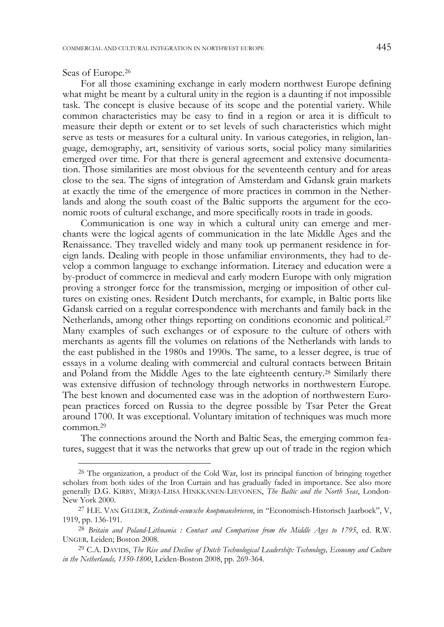Seas of Europe.26

j

 For all those examining exchange in early modern northwest Europe defining what might be meant by a cultural unity in the region is a daunting if not impossible task. The concept is elusive because of its scope and the potential variety. While common characteristics may be easy to find in a region or area it is difficult to measure their depth or extent or to set levels of such characteristics which might serve as tests or measures for a cultural unity. In various categories, in religion, language, demography, art, sensitivity of various sorts, social policy many similarities emerged over time. For that there is general agreement and extensive documentation. Those similarities are most obvious for the seventeenth century and for areas close to the sea. The signs of integration of Amsterdam and Gdansk grain markets at exactly the time of the emergence of more practices in common in the Netherlands and along the south coast of the Baltic supports the argument for the economic roots of cultural exchange, and more specifically roots in trade in goods.

 Communication is one way in which a cultural unity can emerge and merchants were the logical agents of communication in the late Middle Ages and the Renaissance. They travelled widely and many took up permanent residence in foreign lands. Dealing with people in those unfamiliar environments, they had to develop a common language to exchange information. Literacy and education were a by-product of commerce in medieval and early modern Europe with only migration proving a stronger force for the transmission, merging or imposition of other cultures on existing ones. Resident Dutch merchants, for example, in Baltic ports like Gdansk carried on a regular correspondence with merchants and family back in the Netherlands, among other things reporting on conditions economic and political.<sup>27</sup> Many examples of such exchanges or of exposure to the culture of others with merchants as agents fill the volumes on relations of the Netherlands with lands to the east published in the 1980s and 1990s. The same, to a lesser degree, is true of essays in a volume dealing with commercial and cultural contacts between Britain and Poland from the Middle Ages to the late eighteenth century.28 Similarly there was extensive diffusion of technology through networks in northwestern Europe. The best known and documented case was in the adoption of northwestern European practices forced on Russia to the degree possible by Tsar Peter the Great around 1700. It was exceptional. Voluntary imitation of techniques was much more common.29

 The connections around the North and Baltic Seas, the emerging common features, suggest that it was the networks that grew up out of trade in the region which

<sup>&</sup>lt;sup>26</sup> The organization, a product of the Cold War, lost its principal function of bringing together scholars from both sides of the Iron Curtain and has gradually faded in importance. See also more generally D.G. KIRBY, MERJA-LIISA HINKKANEN-LIEVONEN, *The Baltic and the North Seas*, London-New York 2000.

<sup>27</sup> H.E. VAN GELDER, *Zestiende-eeuwsche koopmansbrieven*, in "Economisch-Historisch Jaarboek", V, 1919, pp. 136-191.

<sup>28</sup> *Britain and Poland-Lithuania : Contact and Comparison from the Middle Ages to 1795*, ed. R.W. UNGER*,* Leiden; Boston 2008.

<sup>29</sup> C.A. DAVIDS, *The Rise and Decline of Dutch Technological Leadership: Technology, Economy and Culture in the Netherlands, 1350-1800*, Leiden-Boston 2008, pp. 269-364.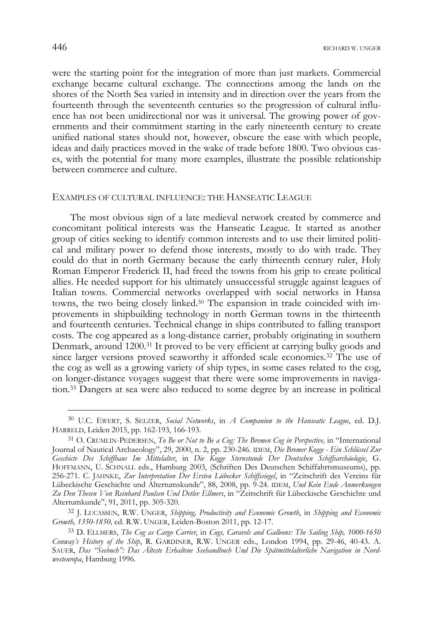were the starting point for the integration of more than just markets. Commercial exchange became cultural exchange. The connections among the lands on the shores of the North Sea varied in intensity and in direction over the years from the fourteenth through the seventeenth centuries so the progression of cultural influence has not been unidirectional nor was it universal. The growing power of governments and their commitment starting in the early nineteenth century to create unified national states should not, however, obscure the ease with which people, ideas and daily practices moved in the wake of trade before 1800. Two obvious cases, with the potential for many more examples, illustrate the possible relationship between commerce and culture.

## EXAMPLES OF CULTURAL INFLUENCE: THE HANSEATIC LEAGUE

 The most obvious sign of a late medieval network created by commerce and concomitant political interests was the Hanseatic League. It started as another group of cities seeking to identify common interests and to use their limited political and military power to defend those interests, mostly to do with trade. They could do that in north Germany because the early thirteenth century ruler, Holy Roman Emperor Frederick II, had freed the towns from his grip to create political allies. He needed support for his ultimately unsuccessful struggle against leagues of Italian towns. Commercial networks overlapped with social networks in Hansa towns, the two being closely linked.30 The expansion in trade coincided with improvements in shipbuilding technology in north German towns in the thirteenth and fourteenth centuries. Technical change in ships contributed to falling transport costs. The cog appeared as a long-distance carrier, probably originating in southern Denmark, around 1200.31 It proved to be very efficient at carrying bulky goods and since larger versions proved seaworthy it afforded scale economies.32 The use of the cog as well as a growing variety of ship types, in some cases related to the cog, on longer-distance voyages suggest that there were some improvements in navigation.33 Dangers at sea were also reduced to some degree by an increase in political

<sup>30</sup> U.C. EWERT, S. SELZER, *Social Networks*, in *A Companion to the Hanseatic League*, ed. D.J. HARRELD, Leiden 2015, pp. 162-193, 166-193.

<sup>31</sup> O. CRUMLIN-PEDERSEN, *To Be or Not to Be a Cog: The Bremen Cog in Perspective,* in "International Journal of Nautical Archaeology", 29, 2000, n. 2, pp. 230-246. IDEM, *Die Bremer Kogge - Ein Schlüssel Zur Geschicte Des Schiffbaus Im Mittelalter*, in *Die Kogge Sternstunde Der Deutschen Schiffsarchäologie*, G. HOFFMANN, U. SCHNALL eds., Hamburg 2003, (Schriften Des Deutschen Schiffahrtsmuseums), pp. 256-271. C. JAHNKE, *Zur Interpretation Der Ersten Lübecker Schiffssiegel*, in "Zeitschrift des Vereins für Lübeckische Geschichte und Altertumskunde", 88, 2008, pp. 9-24. IDEM, *Und Kein Ende Anmerkungen Zu Den Thesen Von Reinhard Paulsen Und Detlev Ellmers*, in "Zeitschrift für Lübeckische Geschichte und Altertumkunde", 91, 2011, pp. 305-320.

<sup>32</sup> J. LUCASSEN, R.W. UNGER, *Shipping, Productivity and Economic Growth*, in *Shipping and Economic Growth, 1350-1850,* ed. R.W. UNGER, Leiden-Boston 2011, pp. 12-17.

<sup>33</sup> D. ELLMERS, *The Cog as Cargo Carrier*, in *Cogs, Caravels and Galleons: The Sailing Ship, 1000-1650 Conway's History of the Ship*, R. GARDINER, R.W. UNGER eds., London 1994, pp. 29-46, 40-43. A. SAUER, *Das "Seebuch": Das Älteste Erhaltene Seehandbuch Und Die Spätmittelalterliche Navigation in Nordwesteuropa*, Hamburg 1996.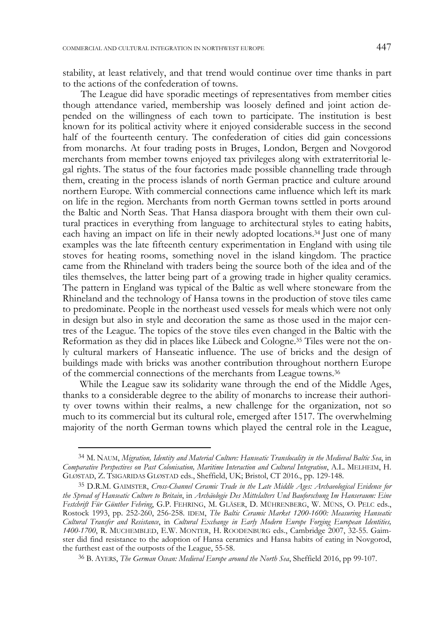stability, at least relatively, and that trend would continue over time thanks in part to the actions of the confederation of towns.

 The League did have sporadic meetings of representatives from member cities though attendance varied, membership was loosely defined and joint action depended on the willingness of each town to participate. The institution is best known for its political activity where it enjoyed considerable success in the second half of the fourteenth century. The confederation of cities did gain concessions from monarchs. At four trading posts in Bruges, London, Bergen and Novgorod merchants from member towns enjoyed tax privileges along with extraterritorial legal rights. The status of the four factories made possible channelling trade through them, creating in the process islands of north German practice and culture around northern Europe. With commercial connections came influence which left its mark on life in the region. Merchants from north German towns settled in ports around the Baltic and North Seas. That Hansa diaspora brought with them their own cultural practices in everything from language to architectural styles to eating habits, each having an impact on life in their newly adopted locations.34 Just one of many examples was the late fifteenth century experimentation in England with using tile stoves for heating rooms, something novel in the island kingdom. The practice came from the Rhineland with traders being the source both of the idea and of the tiles themselves, the latter being part of a growing trade in higher quality ceramics. The pattern in England was typical of the Baltic as well where stoneware from the Rhineland and the technology of Hansa towns in the production of stove tiles came to predominate. People in the northeast used vessels for meals which were not only in design but also in style and decoration the same as those used in the major centres of the League. The topics of the stove tiles even changed in the Baltic with the Reformation as they did in places like Lübeck and Cologne.35 Tiles were not the only cultural markers of Hanseatic influence. The use of bricks and the design of buildings made with bricks was another contribution throughout northern Europe of the commercial connections of the merchants from League towns.36

While the League saw its solidarity wane through the end of the Middle Ages, thanks to a considerable degree to the ability of monarchs to increase their authority over towns within their realms, a new challenge for the organization, not so much to its commercial but its cultural role, emerged after 1517. The overwhelming majority of the north German towns which played the central role in the League,

<sup>34</sup> M. NAUM, *Migration, Identity and Material Culture: Hanseatic Translocality in the Medieval Baltic Sea*, in *Comparative Perspectives on Past Colonisation, Maritime Interaction and Cultural Integration*, A.L. MELHEIM, H. GLØSTAD, Z. TSIGARIDAS GLØSTAD eds., Sheffield, UK; Bristol, CT 2016., pp. 129-148.

<sup>35</sup> D.R.M. GAIMSTER, *Cross-Channel Ceramic Trade in the Late Middle Ages: Archaeological Evidence for the Spread of Hanseatic Culture to Britain*, in *Archäologie Des Mittelalters Und Bauforschung Im Hanseraum: Eine Festchrift Für Günther Fehring*, G.P. FEHRING, M. GLÄSER, D. MÜHRENBERG, W. MÜNS, O. PELC eds., Rostock 1993, pp. 252-260, 256-258. IDEM, *The Baltic Ceramic Market 1200-1600: Measuring Hanseatic Cultural Transfer and Resistance*, in *Cultural Exchange in Early Modern Europe Forging European Identities, 1400-1700*, R. MUCHEMBLED, E.W. MONTER, H. ROODENBURG eds., Cambridge 2007, 32-55. Gaimster did find resistance to the adoption of Hansa ceramics and Hansa habits of eating in Novgorod, the furthest east of the outposts of the League, 55-58.

<sup>36</sup> B. AYERS, *The German Ocean: Medieval Europe around the North Sea*, Sheffield 2016, pp 99-107.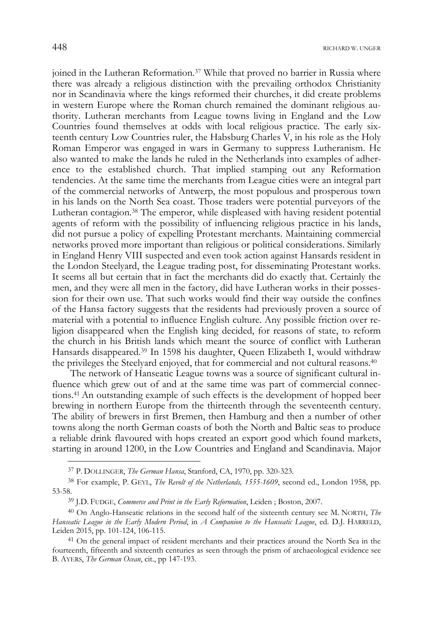joined in the Lutheran Reformation.<sup>37</sup> While that proved no barrier in Russia where there was already a religious distinction with the prevailing orthodox Christianity nor in Scandinavia where the kings reformed their churches, it did create problems in western Europe where the Roman church remained the dominant religious authority. Lutheran merchants from League towns living in England and the Low Countries found themselves at odds with local religious practice. The early sixteenth century Low Countries ruler, the Habsburg Charles  $\hat{V}$ , in his role as the Holy Roman Emperor was engaged in wars in Germany to suppress Lutheranism. He also wanted to make the lands he ruled in the Netherlands into examples of adherence to the established church. That implied stamping out any Reformation tendencies. At the same time the merchants from League cities were an integral part of the commercial networks of Antwerp, the most populous and prosperous town in his lands on the North Sea coast. Those traders were potential purveyors of the Lutheran contagion.38 The emperor, while displeased with having resident potential agents of reform with the possibility of influencing religious practice in his lands, did not pursue a policy of expelling Protestant merchants. Maintaining commercial networks proved more important than religious or political considerations. Similarly in England Henry VIII suspected and even took action against Hansards resident in the London Steelyard, the League trading post, for disseminating Protestant works. It seems all but certain that in fact the merchants did do exactly that. Certainly the men, and they were all men in the factory, did have Lutheran works in their possession for their own use. That such works would find their way outside the confines of the Hansa factory suggests that the residents had previously proven a source of material with a potential to influence English culture. Any possible friction over religion disappeared when the English king decided, for reasons of state, to reform the church in his British lands which meant the source of conflict with Lutheran Hansards disappeared.39 In 1598 his daughter, Queen Elizabeth I, would withdraw the privileges the Steelyard enjoyed, that for commercial and not cultural reasons.40

 The network of Hanseatic League towns was a source of significant cultural influence which grew out of and at the same time was part of commercial connections.41 An outstanding example of such effects is the development of hopped beer brewing in northern Europe from the thirteenth through the seventeenth century. The ability of brewers in first Bremen, then Hamburg and then a number of other towns along the north German coasts of both the North and Baltic seas to produce a reliable drink flavoured with hops created an export good which found markets, starting in around 1200, in the Low Countries and England and Scandinavia. Major

j

<sup>37</sup> P. DOLLINGER, *The German Hansa*, Stanford, CA, 1970, pp. 320-323.

<sup>38</sup> For example, P. GEYL, *The Revolt of the Netherlands, 1555-1609*, second ed., London 1958, pp. 53-58.

<sup>39</sup> J.D. FUDGE, *Commerce and Print in the Early Reformation*, Leiden ; Boston, 2007.

<sup>40</sup> On Anglo-Hanseatic relations in the second half of the sixteenth century see M. NORTH, *The Hanseatic League in the Early Modern Period*, in *A Companion to the Hanseatic League*, ed. D.J. HARRELD, Leiden 2015, pp. 101-124, 106-115.

<sup>&</sup>lt;sup>41</sup> On the general impact of resident merchants and their practices around the North Sea in the fourteenth, fifteenth and sixteenth centuries as seen through the prism of archaeological evidence see B. AYERS, *The German Ocean*, cit., pp 147-193.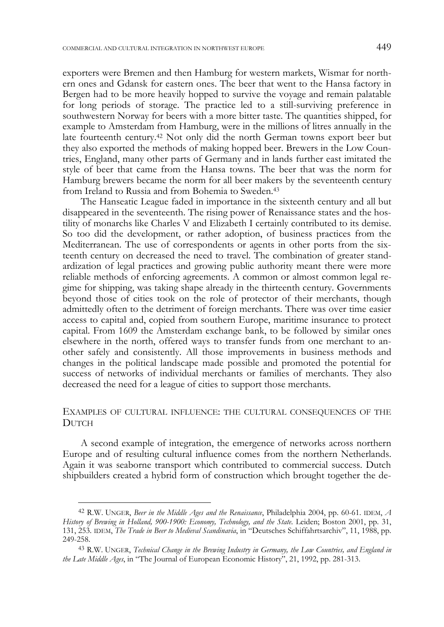exporters were Bremen and then Hamburg for western markets, Wismar for northern ones and Gdansk for eastern ones. The beer that went to the Hansa factory in Bergen had to be more heavily hopped to survive the voyage and remain palatable for long periods of storage. The practice led to a still-surviving preference in southwestern Norway for beers with a more bitter taste. The quantities shipped, for example to Amsterdam from Hamburg, were in the millions of litres annually in the late fourteenth century.42 Not only did the north German towns export beer but they also exported the methods of making hopped beer. Brewers in the Low Countries, England, many other parts of Germany and in lands further east imitated the style of beer that came from the Hansa towns. The beer that was the norm for Hamburg brewers became the norm for all beer makers by the seventeenth century from Ireland to Russia and from Bohemia to Sweden.43

 The Hanseatic League faded in importance in the sixteenth century and all but disappeared in the seventeenth. The rising power of Renaissance states and the hostility of monarchs like Charles V and Elizabeth I certainly contributed to its demise. So too did the development, or rather adoption, of business practices from the Mediterranean. The use of correspondents or agents in other ports from the sixteenth century on decreased the need to travel. The combination of greater standardization of legal practices and growing public authority meant there were more reliable methods of enforcing agreements. A common or almost common legal regime for shipping, was taking shape already in the thirteenth century. Governments beyond those of cities took on the role of protector of their merchants, though admittedly often to the detriment of foreign merchants. There was over time easier access to capital and, copied from southern Europe, maritime insurance to protect capital. From 1609 the Amsterdam exchange bank, to be followed by similar ones elsewhere in the north, offered ways to transfer funds from one merchant to another safely and consistently. All those improvements in business methods and changes in the political landscape made possible and promoted the potential for success of networks of individual merchants or families of merchants. They also decreased the need for a league of cities to support those merchants.

# EXAMPLES OF CULTURAL INFLUENCE: THE CULTURAL CONSEQUENCES OF THE **DUTCH**

 A second example of integration, the emergence of networks across northern Europe and of resulting cultural influence comes from the northern Netherlands. Again it was seaborne transport which contributed to commercial success. Dutch shipbuilders created a hybrid form of construction which brought together the de-

<sup>42</sup> R.W. UNGER, *Beer in the Middle Ages and the Renaissance*, Philadelphia 2004, pp. 60-61. IDEM, *A History of Brewing in Holland, 900-1900: Economy, Technology, and the State*. Leiden; Boston 2001, pp. 31, 131, 253. IDEM, *The Trade in Beer to Medieval Scandinavia*, in "Deutsches Schiffahrtsarchiv", 11, 1988, pp. 249-258.

<sup>43</sup> R.W. UNGER, *Technical Change in the Brewing Industry in Germany, the Low Countries, and England in the Late Middle Ages*, in "The Journal of European Economic History", 21, 1992, pp. 281-313.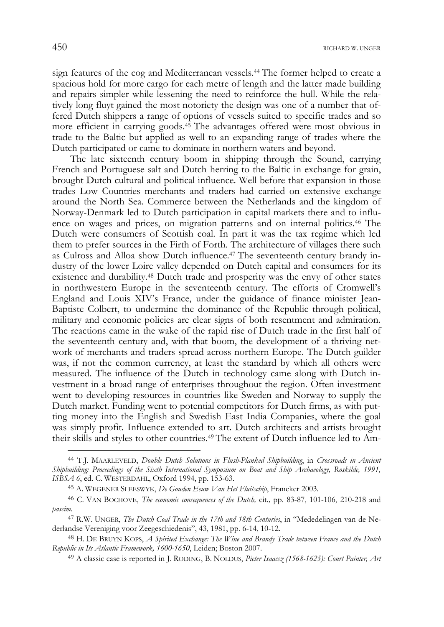sign features of the cog and Mediterranean vessels.44 The former helped to create a spacious hold for more cargo for each metre of length and the latter made building and repairs simpler while lessening the need to reinforce the hull. While the relatively long fluyt gained the most notoriety the design was one of a number that offered Dutch shippers a range of options of vessels suited to specific trades and so more efficient in carrying goods.45 The advantages offered were most obvious in trade to the Baltic but applied as well to an expanding range of trades where the Dutch participated or came to dominate in northern waters and beyond.

 The late sixteenth century boom in shipping through the Sound, carrying French and Portuguese salt and Dutch herring to the Baltic in exchange for grain, brought Dutch cultural and political influence. Well before that expansion in those trades Low Countries merchants and traders had carried on extensive exchange around the North Sea. Commerce between the Netherlands and the kingdom of Norway-Denmark led to Dutch participation in capital markets there and to influence on wages and prices, on migration patterns and on internal politics.46 The Dutch were consumers of Scottish coal. In part it was the tax regime which led them to prefer sources in the Firth of Forth. The architecture of villages there such as Culross and Alloa show Dutch influence.47 The seventeenth century brandy industry of the lower Loire valley depended on Dutch capital and consumers for its existence and durability.48 Dutch trade and prosperity was the envy of other states in northwestern Europe in the seventeenth century. The efforts of Cromwell's England and Louis XIV's France, under the guidance of finance minister Jean-Baptiste Colbert, to undermine the dominance of the Republic through political, military and economic policies are clear signs of both resentment and admiration. The reactions came in the wake of the rapid rise of Dutch trade in the first half of the seventeenth century and, with that boom, the development of a thriving network of merchants and traders spread across northern Europe. The Dutch guilder was, if not the common currency, at least the standard by which all others were measured. The influence of the Dutch in technology came along with Dutch investment in a broad range of enterprises throughout the region. Often investment went to developing resources in countries like Sweden and Norway to supply the Dutch market. Funding went to potential competitors for Dutch firms, as with putting money into the English and Swedish East India Companies, where the goal was simply profit. Influence extended to art. Dutch architects and artists brought their skills and styles to other countries.49 The extent of Dutch influence led to Am-

<sup>44</sup> T.J. MAARLEVELD, *Double Dutch Solutions in Flush-Planked Shipbuilding*, in *Crossroads in Ancient Shipbuilding: Proceedings of the Sixth International Symposium on Boat and Ship Archaeology, Roskilde, 1991, ISBSA 6*, ed. C. WESTERDAHL, Oxford 1994, pp. 153-63.

<sup>45</sup> A. WEGENER SLEESWYK, *De Gouden Eeuw Van Het Fluitschip*, Franeker 2003.

<sup>46</sup> C. VAN BOCHOVE, *The economic consequences of the Dutch,* cit*.,* pp. 83-87, 101-106, 210-218 and *passim*.

<sup>47</sup> R.W. UNGER, *The Dutch Coal Trade in the 17th and 18th Centuries*, in "Mededelingen van de Nederlandse Vereniging voor Zeegeschiedenis", 43, 1981, pp. 6-14, 10-12.

<sup>48</sup> H. DE BRUYN KOPS, *A Spirited Exchange: The Wine and Brandy Trade between France and the Dutch Republic in Its Atlantic Framework, 1600-1650*, Leiden; Boston 2007.

<sup>49</sup> A classic case is reported in J. RODING, B. NOLDUS, *Pieter Isaacsz (1568-1625): Court Painter, Art*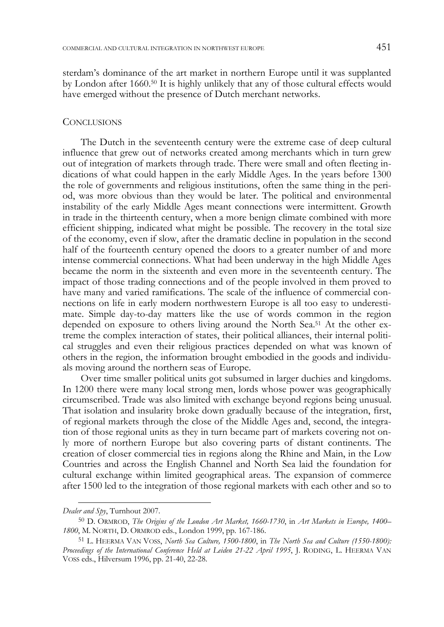sterdam's dominance of the art market in northern Europe until it was supplanted by London after 1660.50 It is highly unlikely that any of those cultural effects would have emerged without the presence of Dutch merchant networks.

#### **CONCLUSIONS**

 The Dutch in the seventeenth century were the extreme case of deep cultural influence that grew out of networks created among merchants which in turn grew out of integration of markets through trade. There were small and often fleeting indications of what could happen in the early Middle Ages. In the years before 1300 the role of governments and religious institutions, often the same thing in the period, was more obvious than they would be later. The political and environmental instability of the early Middle Ages meant connections were intermittent. Growth in trade in the thirteenth century, when a more benign climate combined with more efficient shipping, indicated what might be possible. The recovery in the total size of the economy, even if slow, after the dramatic decline in population in the second half of the fourteenth century opened the doors to a greater number of and more intense commercial connections. What had been underway in the high Middle Ages became the norm in the sixteenth and even more in the seventeenth century. The impact of those trading connections and of the people involved in them proved to have many and varied ramifications. The scale of the influence of commercial connections on life in early modern northwestern Europe is all too easy to underestimate. Simple day-to-day matters like the use of words common in the region depended on exposure to others living around the North Sea.51 At the other extreme the complex interaction of states, their political alliances, their internal political struggles and even their religious practices depended on what was known of others in the region, the information brought embodied in the goods and individuals moving around the northern seas of Europe.

 Over time smaller political units got subsumed in larger duchies and kingdoms. In 1200 there were many local strong men, lords whose power was geographically circumscribed. Trade was also limited with exchange beyond regions being unusual. That isolation and insularity broke down gradually because of the integration, first, of regional markets through the close of the Middle Ages and, second, the integration of those regional units as they in turn became part of markets covering not only more of northern Europe but also covering parts of distant continents. The creation of closer commercial ties in regions along the Rhine and Main, in the Low Countries and across the English Channel and North Sea laid the foundation for cultural exchange within limited geographical areas. The expansion of commerce after 1500 led to the integration of those regional markets with each other and so to

*Dealer and Spy*, Turnhout 2007.

<sup>50</sup> D. ORMROD, *The Origins of the London Art Market, 1660-1730*, in *Art Markets in Europe, 1400– 1800*, M. NORTH, D. ORMROD eds., London 1999, pp. 167-186.

<sup>51</sup> L. HEERMA VAN VOSS, *North Sea Culture, 1500-1800*, in *The North Sea and Culture (1550-1800): Proceedings of the International Conference Held at Leiden 21-22 April 1995*, J. RODING, L. HEERMA VAN VOSS eds., Hilversum 1996, pp. 21-40, 22-28.